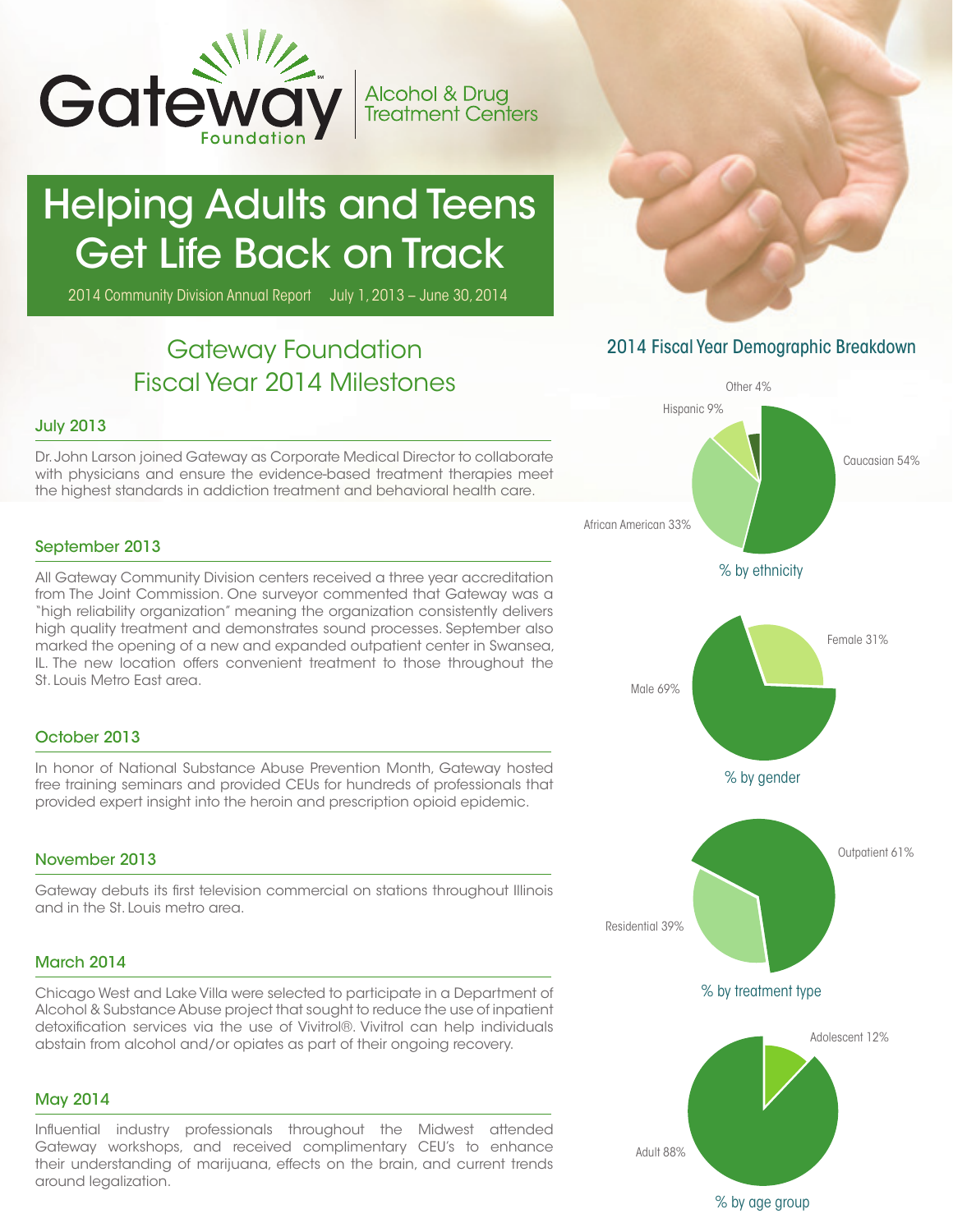

# Helping Adults and Teens Get Life Back on Track

2014 Community Division Annual Report July 1, 2013 – June 30, 2014

# Gateway Foundation Fiscal Year 2014 Milestones

#### July 2013

Dr. John Larson joined Gateway as Corporate Medical Director to collaborate with physicians and ensure the evidence-based treatment therapies meet the highest standards in addiction treatment and behavioral health care.

#### September 2013

All Gateway Community Division centers received a three year accreditation from The Joint Commission. One surveyor commented that Gateway was a "high reliability organization" meaning the organization consistently delivers high quality treatment and demonstrates sound processes. September also marked the opening of a new and expanded outpatient center in Swansea, IL. The new location offers convenient treatment to those throughout the St. Louis Metro East area.

#### October 2013

In honor of National Substance Abuse Prevention Month, Gateway hosted free training seminars and provided CEUs for hundreds of professionals that provided expert insight into the heroin and prescription opioid epidemic.

### November 2013

Gateway debuts its first television commercial on stations throughout Illinois and in the St. Louis metro area.

## March 2014

Chicago West and Lake Villa were selected to participate in a Department of Alcohol & Substance Abuse project that sought to reduce the use of inpatient detoxification services via the use of Vivitrol®. Vivitrol can help individuals abstain from alcohol and/or opiates as part of their ongoing recovery.

#### May 2014

Influential industry professionals throughout the Midwest attended Gateway workshops, and received complimentary CEU's to enhance their understanding of marijuana, effects on the brain, and current trends around legalization.

# 2014 Fiscal Year Demographic Breakdown